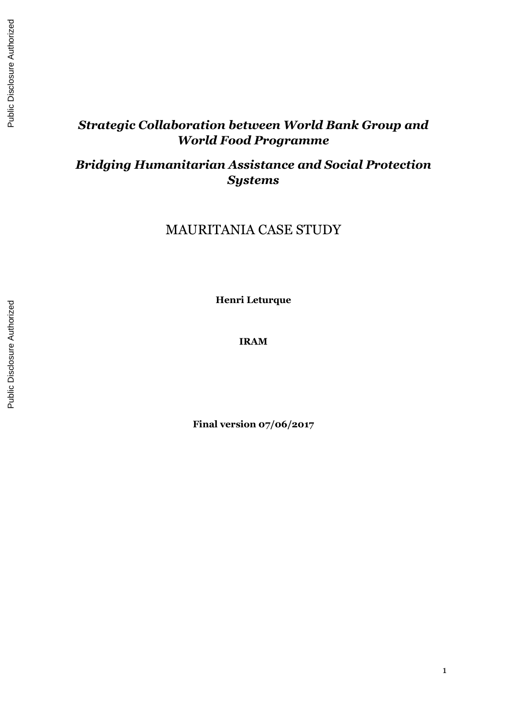# *Strategic Collaboration between World Bank Group and World Food Programme*

*Bridging Humanitarian Assistance and Social Protection Systems*

MAURITANIA CASE STUDY

**Henri Leturque**

**IRAM**

**Final version 07/06/2017**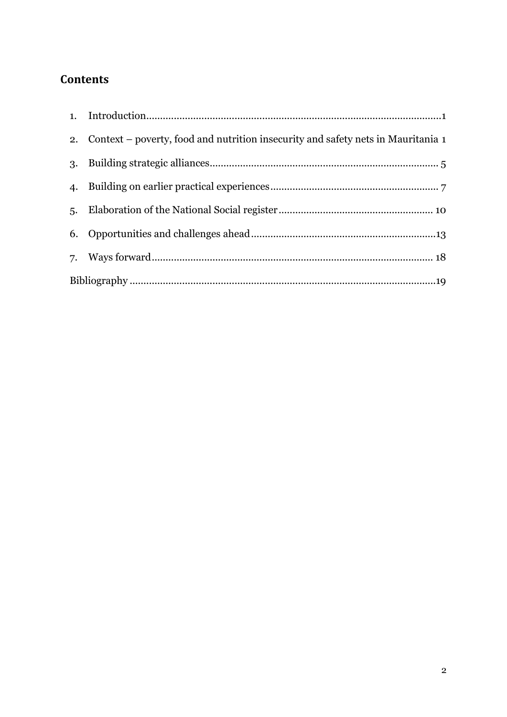# **Contents**

| 2. Context – poverty, food and nutrition insecurity and safety nets in Mauritania 1 |
|-------------------------------------------------------------------------------------|
|                                                                                     |
|                                                                                     |
|                                                                                     |
|                                                                                     |
|                                                                                     |
|                                                                                     |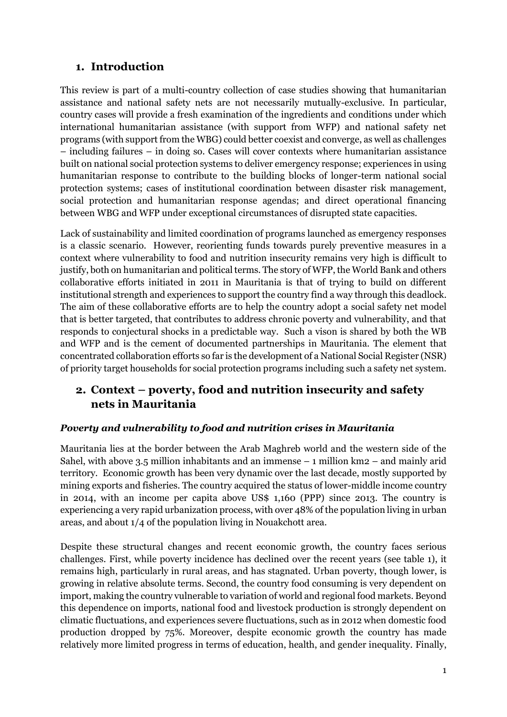## <span id="page-2-0"></span>**1. Introduction**

This review is part of a multi-country collection of case studies showing that humanitarian assistance and national safety nets are not necessarily mutually-exclusive. In particular, country cases will provide a fresh examination of the ingredients and conditions under which international humanitarian assistance (with support from WFP) and national safety net programs (with support from the WBG) could better coexist and converge, as well as challenges – including failures – in doing so. Cases will cover contexts where humanitarian assistance built on national social protection systems to deliver emergency response; experiences in using humanitarian response to contribute to the building blocks of longer-term national social protection systems; cases of institutional coordination between disaster risk management, social protection and humanitarian response agendas; and direct operational financing between WBG and WFP under exceptional circumstances of disrupted state capacities.

Lack of sustainability and limited coordination of programs launched as emergency responses is a classic scenario. However, reorienting funds towards purely preventive measures in a context where vulnerability to food and nutrition insecurity remains very high is difficult to justify, both on humanitarian and political terms. The story of WFP, the World Bank and others collaborative efforts initiated in 2011 in Mauritania is that of trying to build on different institutional strength and experiences to support the country find a way through this deadlock. The aim of these collaborative efforts are to help the country adopt a social safety net model that is better targeted, that contributes to address chronic poverty and vulnerability, and that responds to conjectural shocks in a predictable way. Such a vison is shared by both the WB and WFP and is the cement of documented partnerships in Mauritania. The element that concentrated collaboration efforts so far is the development of a National Social Register (NSR) of priority target households for social protection programs including such a safety net system.

## <span id="page-2-1"></span>**2. Context – poverty, food and nutrition insecurity and safety nets in Mauritania**

## *Poverty and vulnerability to food and nutrition crises in Mauritania*

Mauritania lies at the border between the Arab Maghreb world and the western side of the Sahel, with above 3.5 million inhabitants and an immense  $-1$  million km2  $-$  and mainly arid territory. Economic growth has been very dynamic over the last decade, mostly supported by mining exports and fisheries. The country acquired the status of lower-middle income country in 2014, with an income per capita above US\$ 1,160 (PPP) since 2013. The country is experiencing a very rapid urbanization process, with over 48% of the population living in urban areas, and about 1/4 of the population living in Nouakchott area.

Despite these structural changes and recent economic growth, the country faces serious challenges. First, while poverty incidence has declined over the recent years (see table 1), it remains high, particularly in rural areas, and has stagnated. Urban poverty, though lower, is growing in relative absolute terms. Second, the country food consuming is very dependent on import, making the country vulnerable to variation of world and regional food markets. Beyond this dependence on imports, national food and livestock production is strongly dependent on climatic fluctuations, and experiences severe fluctuations, such as in 2012 when domestic food production dropped by 75%. Moreover, despite economic growth the country has made relatively more limited progress in terms of education, health, and gender inequality. Finally,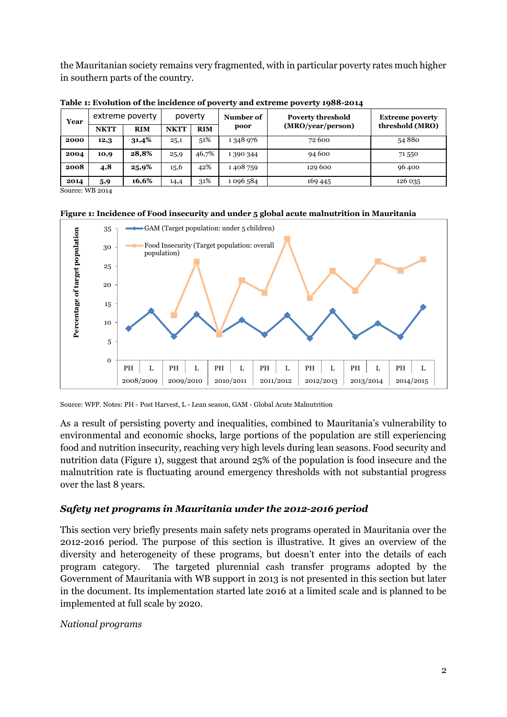the Mauritanian society remains very fragmented, with in particular poverty rates much higher in southern parts of the country.

| Year | extreme poverty |            | poverty     |            | Number of | <b>Poverty threshold</b> | <b>Extreme poverty</b> |
|------|-----------------|------------|-------------|------------|-----------|--------------------------|------------------------|
|      | <b>NKTT</b>     | <b>RIM</b> | <b>NKTT</b> | <b>RIM</b> | poor      | (MRO/year/person)        | threshold (MRO)        |
| 2000 | 12,3            | 31,4%      | 25,1        | 51%        | 1348976   | 72 600                   | 54880                  |
| 2004 | 10,9            | 28,8%      | 25,9        | 46,7%      | 1 390 344 | 94 600                   | 71 550                 |
| 2008 | 4,8             | 25,9%      | 15,6        | 42%        | 1408759   | 129 600                  | 96400                  |
| 2014 | 5,9             | 16,6%      | 14,4        | 31%        | 1 096 584 | 169 445                  | 126 035                |

**Table 1: Evolution of the incidence of poverty and extreme poverty 1988-2014** 

Source: WB 2014

**Figure 1: Incidence of Food insecurity and under 5 global acute malnutrition in Mauritania**



Source: WFP. Notes: PH - Post Harvest, L - Lean season, GAM - Global Acute Malnutrition

As a result of persisting poverty and inequalities, combined to Mauritania's vulnerability to environmental and economic shocks, large portions of the population are still experiencing food and nutrition insecurity, reaching very high levels during lean seasons. Food security and nutrition data (Figure 1), suggest that around 25% of the population is food insecure and the malnutrition rate is fluctuating around emergency thresholds with not substantial progress over the last 8 years.

#### *Safety net programs in Mauritania under the 2012-2016 period*

This section very briefly presents main safety nets programs operated in Mauritania over the 2012-2016 period. The purpose of this section is illustrative. It gives an overview of the diversity and heterogeneity of these programs, but doesn't enter into the details of each program category. The targeted plurennial cash transfer programs adopted by the Government of Mauritania with WB support in 2013 is not presented in this section but later in the document. Its implementation started late 2016 at a limited scale and is planned to be implemented at full scale by 2020.

#### *National programs*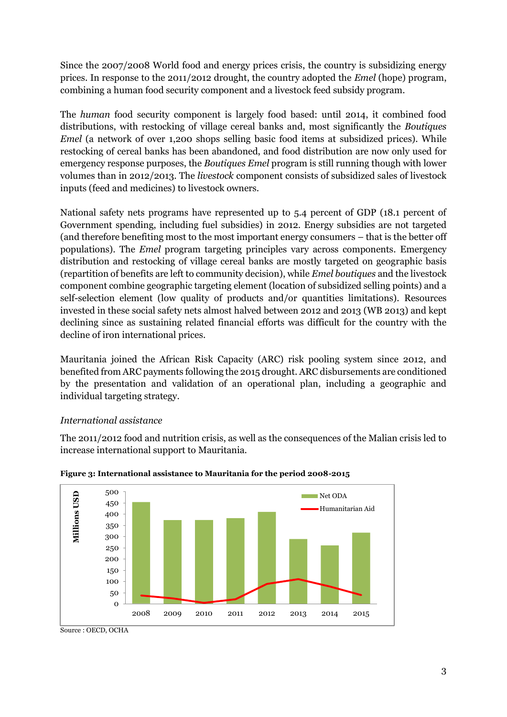Since the 2007/2008 World food and energy prices crisis, the country is subsidizing energy prices. In response to the 2011/2012 drought, the country adopted the *Emel* (hope) program, combining a human food security component and a livestock feed subsidy program.

The *human* food security component is largely food based: until 2014, it combined food distributions, with restocking of village cereal banks and, most significantly the *Boutiques Emel* (a network of over 1,200 shops selling basic food items at subsidized prices). While restocking of cereal banks has been abandoned, and food distribution are now only used for emergency response purposes, the *Boutiques Emel* program is still running though with lower volumes than in 2012/2013. The *livestock* component consists of subsidized sales of livestock inputs (feed and medicines) to livestock owners.

National safety nets programs have represented up to 5.4 percent of GDP (18.1 percent of Government spending, including fuel subsidies) in 2012. Energy subsidies are not targeted (and therefore benefiting most to the most important energy consumers – that is the better off populations). The *Emel* program targeting principles vary across components. Emergency distribution and restocking of village cereal banks are mostly targeted on geographic basis (repartition of benefits are left to community decision), while *Emel boutiques* and the livestock component combine geographic targeting element (location of subsidized selling points) and a self-selection element (low quality of products and/or quantities limitations). Resources invested in these social safety nets almost halved between 2012 and 2013 (WB 2013) and kept declining since as sustaining related financial efforts was difficult for the country with the decline of iron international prices.

Mauritania joined the African Risk Capacity (ARC) risk pooling system since 2012, and benefited from ARC payments following the 2015 drought. ARC disbursements are conditioned by the presentation and validation of an operational plan, including a geographic and individual targeting strategy.

#### *International assistance*

The 2011/2012 food and nutrition crisis, as well as the consequences of the Malian crisis led to increase international support to Mauritania.





Source : OECD, OCHA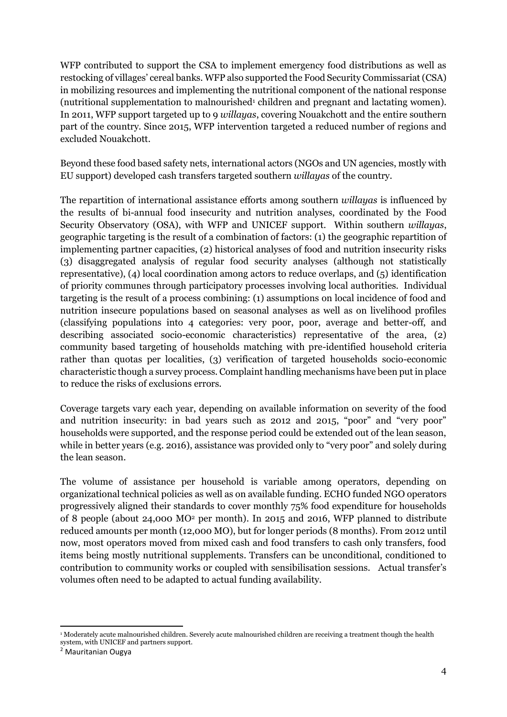WFP contributed to support the CSA to implement emergency food distributions as well as restocking of villages' cereal banks. WFP also supported the Food Security Commissariat (CSA) in mobilizing resources and implementing the nutritional component of the national response (nutritional supplementation to malnourished<sup>1</sup> children and pregnant and lactating women). In 2011, WFP support targeted up to 9 *willayas*, covering Nouakchott and the entire southern part of the country. Since 2015, WFP intervention targeted a reduced number of regions and excluded Nouakchott.

Beyond these food based safety nets, international actors (NGOs and UN agencies, mostly with EU support) developed cash transfers targeted southern *willayas* of the country.

The repartition of international assistance efforts among southern *willayas* is influenced by the results of bi-annual food insecurity and nutrition analyses, coordinated by the Food Security Observatory (OSA), with WFP and UNICEF support. Within southern *willayas*, geographic targeting is the result of a combination of factors: (1) the geographic repartition of implementing partner capacities, (2) historical analyses of food and nutrition insecurity risks (3) disaggregated analysis of regular food security analyses (although not statistically representative), (4) local coordination among actors to reduce overlaps, and (5) identification of priority communes through participatory processes involving local authorities. Individual targeting is the result of a process combining: (1) assumptions on local incidence of food and nutrition insecure populations based on seasonal analyses as well as on livelihood profiles (classifying populations into 4 categories: very poor, poor, average and better-off, and describing associated socio-economic characteristics) representative of the area, (2) community based targeting of households matching with pre-identified household criteria rather than quotas per localities, (3) verification of targeted households socio-economic characteristic though a survey process. Complaint handling mechanisms have been put in place to reduce the risks of exclusions errors.

Coverage targets vary each year, depending on available information on severity of the food and nutrition insecurity: in bad years such as 2012 and 2015, "poor" and "very poor" households were supported, and the response period could be extended out of the lean season, while in better years (e.g. 2016), assistance was provided only to "very poor" and solely during the lean season.

The volume of assistance per household is variable among operators, depending on organizational technical policies as well as on available funding. ECHO funded NGO operators progressively aligned their standards to cover monthly 75% food expenditure for households of 8 people (about 24,000 MO<sup>2</sup> per month). In 2015 and 2016, WFP planned to distribute reduced amounts per month (12,000 MO), but for longer periods (8 months). From 2012 until now, most operators moved from mixed cash and food transfers to cash only transfers, food items being mostly nutritional supplements. Transfers can be unconditional, conditioned to contribution to community works or coupled with sensibilisation sessions. Actual transfer's volumes often need to be adapted to actual funding availability.

<sup>1</sup> <sup>1</sup> Moderately acute malnourished children. Severely acute malnourished children are receiving a treatment though the health system, with UNICEF and partners support.

<sup>2</sup> Mauritanian Ougya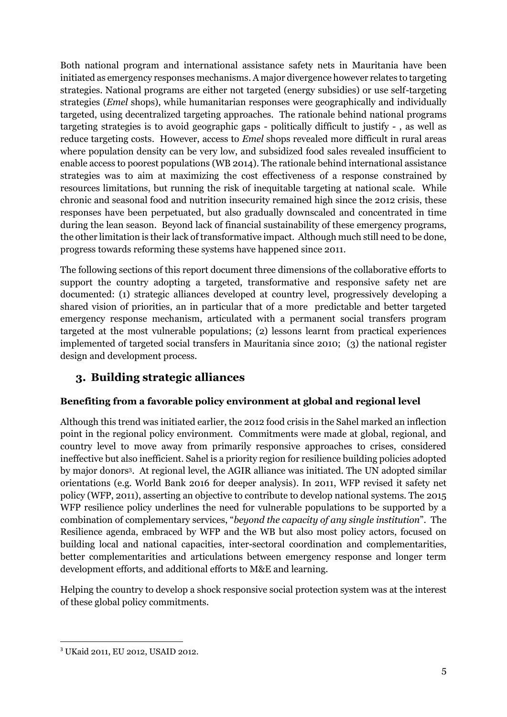Both national program and international assistance safety nets in Mauritania have been initiated as emergency responses mechanisms. A major divergence however relates to targeting strategies. National programs are either not targeted (energy subsidies) or use self-targeting strategies (*Emel* shops), while humanitarian responses were geographically and individually targeted, using decentralized targeting approaches. The rationale behind national programs targeting strategies is to avoid geographic gaps - politically difficult to justify - , as well as reduce targeting costs. However, access to *Emel* shops revealed more difficult in rural areas where population density can be very low, and subsidized food sales revealed insufficient to enable access to poorest populations (WB 2014). The rationale behind international assistance strategies was to aim at maximizing the cost effectiveness of a response constrained by resources limitations, but running the risk of inequitable targeting at national scale. While chronic and seasonal food and nutrition insecurity remained high since the 2012 crisis, these responses have been perpetuated, but also gradually downscaled and concentrated in time during the lean season. Beyond lack of financial sustainability of these emergency programs, the other limitation is their lack of transformative impact. Although much still need to be done, progress towards reforming these systems have happened since 2011.

The following sections of this report document three dimensions of the collaborative efforts to support the country adopting a targeted, transformative and responsive safety net are documented: (1) strategic alliances developed at country level, progressively developing a shared vision of priorities, an in particular that of a more predictable and better targeted emergency response mechanism, articulated with a permanent social transfers program targeted at the most vulnerable populations; (2) lessons learnt from practical experiences implemented of targeted social transfers in Mauritania since 2010; (3) the national register design and development process.

# <span id="page-6-0"></span>**3. Building strategic alliances**

## **Benefiting from a favorable policy environment at global and regional level**

Although this trend was initiated earlier, the 2012 food crisis in the Sahel marked an inflection point in the regional policy environment. Commitments were made at global, regional, and country level to move away from primarily responsive approaches to crises, considered ineffective but also inefficient. Sahel is a priority region for resilience building policies adopted by major donors<sup>3</sup> . At regional level, the AGIR alliance was initiated. The UN adopted similar orientations (e.g. World Bank 2016 for deeper analysis). In 2011, WFP revised it safety net policy (WFP, 2011), asserting an objective to contribute to develop national systems. The 2015 WFP resilience policy underlines the need for vulnerable populations to be supported by a combination of complementary services, "*beyond the capacity of any single institution*". The Resilience agenda, embraced by WFP and the WB but also most policy actors, focused on building local and national capacities, inter-sectoral coordination and complementarities, better complementarities and articulations between emergency response and longer term development efforts, and additional efforts to M&E and learning.

Helping the country to develop a shock responsive social protection system was at the interest of these global policy commitments.

**<sup>.</sup>** <sup>3</sup> UKaid 2011, EU 2012, USAID 2012.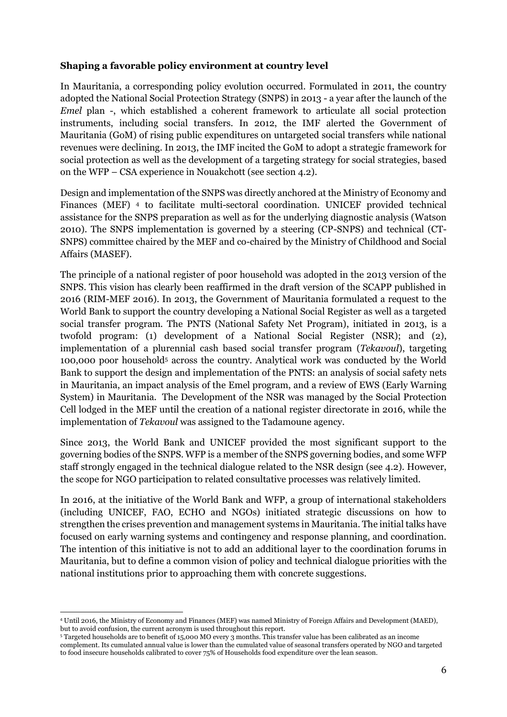#### **Shaping a favorable policy environment at country level**

In Mauritania, a corresponding policy evolution occurred. Formulated in 2011, the country adopted the National Social Protection Strategy (SNPS) in 2013 - a year after the launch of the *Emel* plan -, which established a coherent framework to articulate all social protection instruments, including social transfers. In 2012, the IMF alerted the Government of Mauritania (GoM) of rising public expenditures on untargeted social transfers while national revenues were declining. In 2013, the IMF incited the GoM to adopt a strategic framework for social protection as well as the development of a targeting strategy for social strategies, based on the WFP – CSA experience in Nouakchott (see section 4.2).

Design and implementation of the SNPS was directly anchored at the Ministry of Economy and Finances (MEF) <sup>4</sup> to facilitate multi-sectoral coordination. UNICEF provided technical assistance for the SNPS preparation as well as for the underlying diagnostic analysis (Watson 2010). The SNPS implementation is governed by a steering (CP-SNPS) and technical (CT-SNPS) committee chaired by the MEF and co-chaired by the Ministry of Childhood and Social Affairs (MASEF).

The principle of a national register of poor household was adopted in the 2013 version of the SNPS. This vision has clearly been reaffirmed in the draft version of the SCAPP published in 2016 (RIM-MEF 2016). In 2013, the Government of Mauritania formulated a request to the World Bank to support the country developing a National Social Register as well as a targeted social transfer program. The PNTS (National Safety Net Program), initiated in 2013, is a twofold program: (1) development of a National Social Register (NSR); and (2), implementation of a plurennial cash based social transfer program (*Tekavoul*), targeting 100,000 poor household<sup>5</sup> across the country. Analytical work was conducted by the World Bank to support the design and implementation of the PNTS: an analysis of social safety nets in Mauritania, an impact analysis of the Emel program, and a review of EWS (Early Warning System) in Mauritania. The Development of the NSR was managed by the Social Protection Cell lodged in the MEF until the creation of a national register directorate in 2016, while the implementation of *Tekavoul* was assigned to the Tadamoune agency.

Since 2013, the World Bank and UNICEF provided the most significant support to the governing bodies of the SNPS. WFP is a member of the SNPS governing bodies, and some WFP staff strongly engaged in the technical dialogue related to the NSR design (see 4.2). However, the scope for NGO participation to related consultative processes was relatively limited.

In 2016, at the initiative of the World Bank and WFP, a group of international stakeholders (including UNICEF, FAO, ECHO and NGOs) initiated strategic discussions on how to strengthen the crises prevention and management systems in Mauritania. The initial talks have focused on early warning systems and contingency and response planning, and coordination. The intention of this initiative is not to add an additional layer to the coordination forums in Mauritania, but to define a common vision of policy and technical dialogue priorities with the national institutions prior to approaching them with concrete suggestions.

**<sup>.</sup>** <sup>4</sup> Until 2016, the Ministry of Economy and Finances (MEF) was named Ministry of Foreign Affairs and Development (MAED), but to avoid confusion, the current acronym is used throughout this report.

<sup>&</sup>lt;sup>5</sup> Targeted households are to benefit of 15,000 MO every 3 months. This transfer value has been calibrated as an income complement. Its cumulated annual value is lower than the cumulated value of seasonal transfers operated by NGO and targeted to food insecure households calibrated to cover 75% of Households food expenditure over the lean season.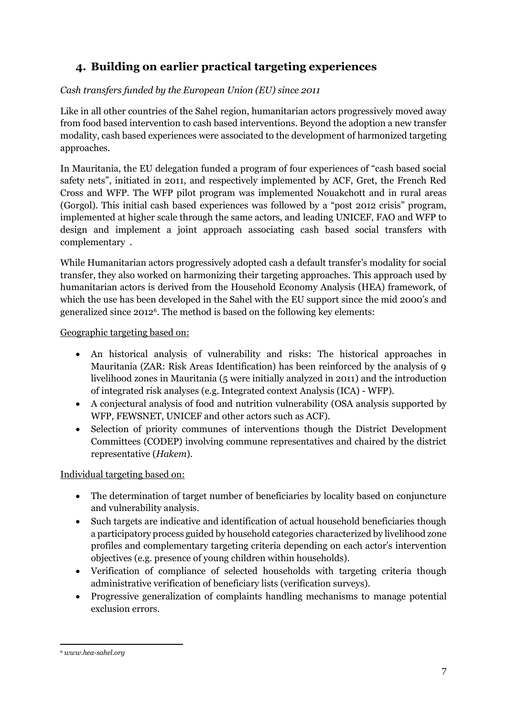# <span id="page-8-0"></span>**4. Building on earlier practical targeting experiences**

## *Cash transfers funded by the European Union (EU) since 2011*

Like in all other countries of the Sahel region, humanitarian actors progressively moved away from food based intervention to cash based interventions. Beyond the adoption a new transfer modality, cash based experiences were associated to the development of harmonized targeting approaches.

In Mauritania, the EU delegation funded a program of four experiences of "cash based social safety nets", initiated in 2011, and respectively implemented by ACF, Gret, the French Red Cross and WFP. The WFP pilot program was implemented Nouakchott and in rural areas (Gorgol). This initial cash based experiences was followed by a "post 2012 crisis" program, implemented at higher scale through the same actors, and leading UNICEF, FAO and WFP to design and implement a joint approach associating cash based social transfers with complementary .

While Humanitarian actors progressively adopted cash a default transfer's modality for social transfer, they also worked on harmonizing their targeting approaches. This approach used by humanitarian actors is derived from the Household Economy Analysis (HEA) framework, of which the use has been developed in the Sahel with the EU support since the mid 2000's and generalized since 2012<sup>6</sup> . The method is based on the following key elements:

Geographic targeting based on:

- An historical analysis of vulnerability and risks: The historical approaches in Mauritania (ZAR: Risk Areas Identification) has been reinforced by the analysis of 9 livelihood zones in Mauritania (5 were initially analyzed in 2011) and the introduction of integrated risk analyses (e.g. Integrated context Analysis (ICA) - WFP).
- A conjectural analysis of food and nutrition vulnerability (OSA analysis supported by WFP, FEWSNET, UNICEF and other actors such as ACF).
- Selection of priority communes of interventions though the District Development Committees (CODEP) involving commune representatives and chaired by the district representative (*Hakem*).

#### Individual targeting based on:

- The determination of target number of beneficiaries by locality based on conjuncture and vulnerability analysis.
- Such targets are indicative and identification of actual household beneficiaries though a participatory process guided by household categories characterized by livelihood zone profiles and complementary targeting criteria depending on each actor's intervention objectives (e.g. presence of young children within households).
- Verification of compliance of selected households with targeting criteria though administrative verification of beneficiary lists (verification surveys).
- Progressive generalization of complaints handling mechanisms to manage potential exclusion errors.

<sup>1</sup> <sup>6</sup> *www.hea-sahel.org*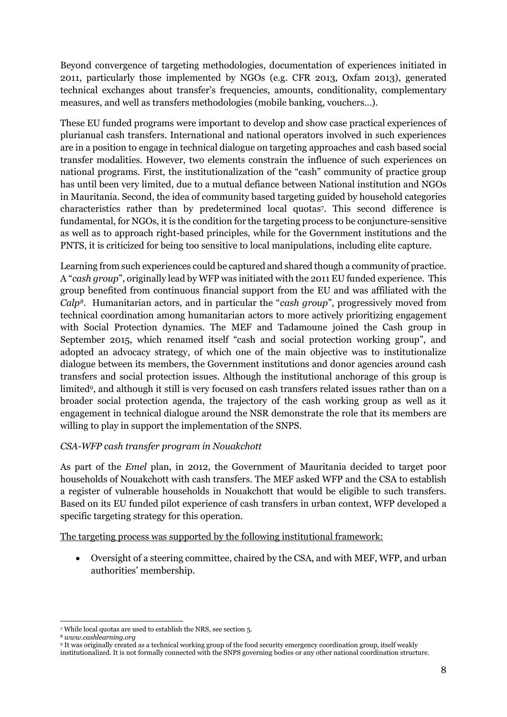Beyond convergence of targeting methodologies, documentation of experiences initiated in 2011, particularly those implemented by NGOs (e.g. CFR 2013, Oxfam 2013), generated technical exchanges about transfer's frequencies, amounts, conditionality, complementary measures, and well as transfers methodologies (mobile banking, vouchers…).

These EU funded programs were important to develop and show case practical experiences of plurianual cash transfers. International and national operators involved in such experiences are in a position to engage in technical dialogue on targeting approaches and cash based social transfer modalities. However, two elements constrain the influence of such experiences on national programs. First, the institutionalization of the "cash" community of practice group has until been very limited, due to a mutual defiance between National institution and NGOs in Mauritania. Second, the idea of community based targeting guided by household categories characteristics rather than by predetermined local quotas<sup>7</sup> . This second difference is fundamental, for NGOs, it is the condition for the targeting process to be conjuncture-sensitive as well as to approach right-based principles, while for the Government institutions and the PNTS, it is criticized for being too sensitive to local manipulations, including elite capture.

Learning from such experiences could be captured and shared though a community of practice. A "*cash group*", originally lead by WFP was initiated with the 2011 EU funded experience. This group benefited from continuous financial support from the EU and was affiliated with the *Calp8*. Humanitarian actors, and in particular the "*cash group*", progressively moved from technical coordination among humanitarian actors to more actively prioritizing engagement with Social Protection dynamics. The MEF and Tadamoune joined the Cash group in September 2015, which renamed itself "cash and social protection working group", and adopted an advocacy strategy, of which one of the main objective was to institutionalize dialogue between its members, the Government institutions and donor agencies around cash transfers and social protection issues. Although the institutional anchorage of this group is limited<sup>9</sup> , and although it still is very focused on cash transfers related issues rather than on a broader social protection agenda, the trajectory of the cash working group as well as it engagement in technical dialogue around the NSR demonstrate the role that its members are willing to play in support the implementation of the SNPS.

#### *CSA-WFP cash transfer program in Nouakchott*

As part of the *Emel* plan, in 2012, the Government of Mauritania decided to target poor households of Nouakchott with cash transfers. The MEF asked WFP and the CSA to establish a register of vulnerable households in Nouakchott that would be eligible to such transfers. Based on its EU funded pilot experience of cash transfers in urban context, WFP developed a specific targeting strategy for this operation.

The targeting process was supported by the following institutional framework:

 Oversight of a steering committee, chaired by the CSA, and with MEF, WFP, and urban authorities' membership.

**<sup>.</sup>** <sup>7</sup> While local quotas are used to establish the NRS, see section 5.

<sup>8</sup> *www.cashlearning.org*

<sup>9</sup> It was originally created as a technical working group of the food security emergency coordination group, itself weakly institutionalized. It is not formally connected with the SNPS governing bodies or any other national coordination structure.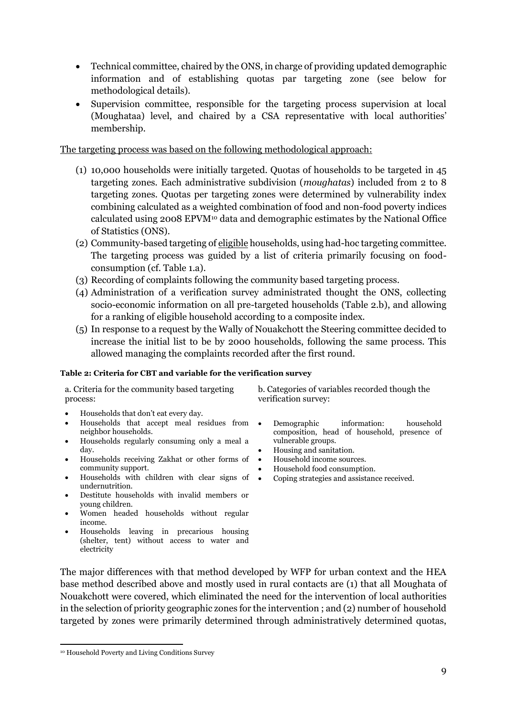- Technical committee, chaired by the ONS, in charge of providing updated demographic information and of establishing quotas par targeting zone (see below for methodological details).
- Supervision committee, responsible for the targeting process supervision at local (Moughataa) level, and chaired by a CSA representative with local authorities' membership.

The targeting process was based on the following methodological approach:

- (1) 10,000 households were initially targeted. Quotas of households to be targeted in 45 targeting zones. Each administrative subdivision (*moughatas*) included from 2 to 8 targeting zones. Quotas per targeting zones were determined by vulnerability index combining calculated as a weighted combination of food and non-food poverty indices calculated using 2008 EPVM<sup>10</sup> data and demographic estimates by the National Office of Statistics (ONS).
- (2) Community-based targeting of eligible households, using had-hoc targeting committee. The targeting process was guided by a list of criteria primarily focusing on foodconsumption (cf. Table 1.a).
- (3) Recording of complaints following the community based targeting process.
- (4) Administration of a verification survey administrated thought the ONS, collecting socio-economic information on all pre-targeted households (Table 2.b), and allowing for a ranking of eligible household according to a composite index.
- (5) In response to a request by the Wally of Nouakchott the Steering committee decided to increase the initial list to be by 2000 households, following the same process. This allowed managing the complaints recorded after the first round.

#### **Table 2: Criteria for CBT and variable for the verification survey**

a. Criteria for the community based targeting process:

Households that don't eat every day.

- Households that accept meal residues from neighbor households.
- Households regularly consuming only a meal a day.
- Households receiving Zakhat or other forms of community support.
- Households with children with clear signs of undernutrition.
- Destitute households with invalid members or young children.
- Women headed households without regular income.
- Households leaving in precarious housing (shelter, tent) without access to water and electricity

b. Categories of variables recorded though the verification survey:

- Demographic information: household composition, head of household, presence of vulnerable groups.
- Housing and sanitation.
- Household income sources.
- Household food consumption.
- Coping strategies and assistance received.

The major differences with that method developed by WFP for urban context and the HEA base method described above and mostly used in rural contacts are (1) that all Moughata of Nouakchott were covered, which eliminated the need for the intervention of local authorities in the selection of priority geographic zones for the intervention ; and (2) number of household targeted by zones were primarily determined through administratively determined quotas,

1

<sup>10</sup> Household Poverty and Living Conditions Survey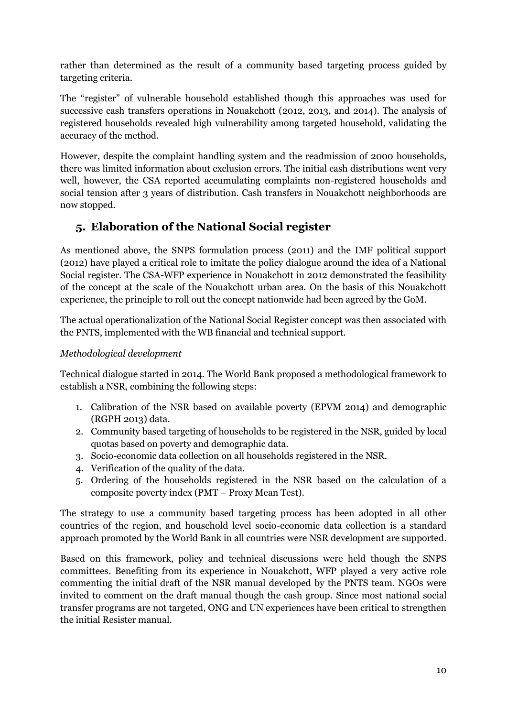rather than determined as the result of a community based targeting process guided by targeting criteria.

The "register" of vulnerable household established though this approaches was used for successive cash transfers operations in Nouakchott (2012, 2013, and 2014). The analysis of registered households revealed high vulnerability among targeted household, validating the accuracy of the method.

However, despite the complaint handling system and the readmission of 2000 households, there was limited information about exclusion errors. The initial cash distributions went very well, however, the CSA reported accumulating complaints non-registered households and social tension after 3 years of distribution. Cash transfers in Nouakchott neighborhoods are now stopped.

# <span id="page-11-0"></span>**5. Elaboration of the National Social register**

As mentioned above, the SNPS formulation process (2011) and the IMF political support (2012) have played a critical role to imitate the policy dialogue around the idea of a National Social register. The CSA-WFP experience in Nouakchott in 2012 demonstrated the feasibility of the concept at the scale of the Nouakchott urban area. On the basis of this Nouakchott experience, the principle to roll out the concept nationwide had been agreed by the GoM.

The actual operationalization of the National Social Register concept was then associated with the PNTS, implemented with the WB financial and technical support.

## *Methodological development*

Technical dialogue started in 2014. The World Bank proposed a methodological framework to establish a NSR, combining the following steps:

- 1. Calibration of the NSR based on available poverty (EPVM 2014) and demographic (RGPH 2013) data.
- 2. Community based targeting of households to be registered in the NSR, guided by local quotas based on poverty and demographic data.
- 3. Socio-economic data collection on all households registered in the NSR.
- 4. Verification of the quality of the data.
- 5. Ordering of the households registered in the NSR based on the calculation of a composite poverty index (PMT – Proxy Mean Test).

The strategy to use a community based targeting process has been adopted in all other countries of the region, and household level socio-economic data collection is a standard approach promoted by the World Bank in all countries were NSR development are supported.

Based on this framework, policy and technical discussions were held though the SNPS committees. Benefiting from its experience in Nouakchott, WFP played a very active role commenting the initial draft of the NSR manual developed by the PNTS team. NGOs were invited to comment on the draft manual though the cash group. Since most national social transfer programs are not targeted, ONG and UN experiences have been critical to strengthen the initial Resister manual.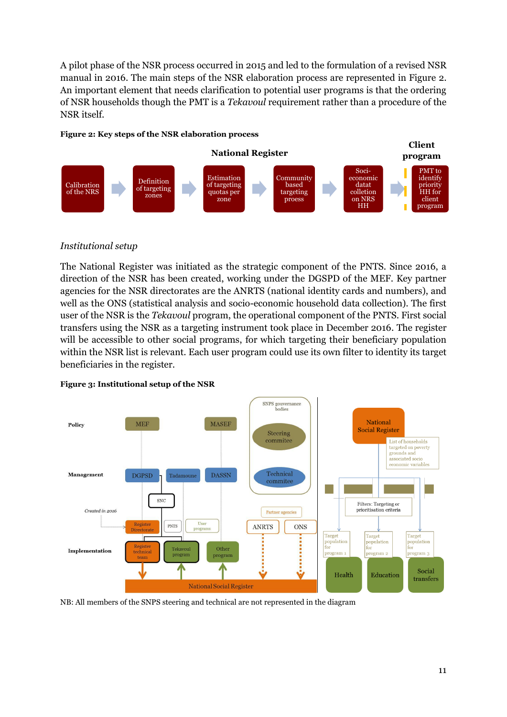A pilot phase of the NSR process occurred in 2015 and led to the formulation of a revised NSR manual in 2016. The main steps of the NSR elaboration process are represented in Figure 2. An important element that needs clarification to potential user programs is that the ordering of NSR households though the PMT is a *Tekavoul* requirement rather than a procedure of the NSR itself.

#### **Figure 2: Key steps of the NSR elaboration process**



#### *Institutional setup*

The National Register was initiated as the strategic component of the PNTS. Since 2016, a direction of the NSR has been created, working under the DGSPD of the MEF. Key partner agencies for the NSR directorates are the ANRTS (national identity cards and numbers), and well as the ONS (statistical analysis and socio-economic household data collection). The first user of the NSR is the *Tekavoul* program, the operational component of the PNTS. First social transfers using the NSR as a targeting instrument took place in December 2016. The register will be accessible to other social programs, for which targeting their beneficiary population within the NSR list is relevant. Each user program could use its own filter to identity its target beneficiaries in the register.



#### **Figure 3: Institutional setup of the NSR**

NB: All members of the SNPS steering and technical are not represented in the diagram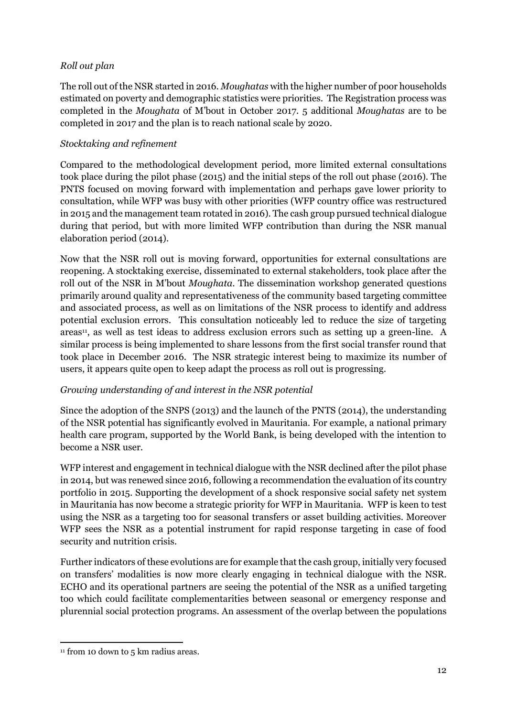#### *Roll out plan*

The roll out of the NSR started in 2016. *Moughatas* with the higher number of poor households estimated on poverty and demographic statistics were priorities. The Registration process was completed in the *Moughata* of M'bout in October 2017. 5 additional *Moughatas* are to be completed in 2017 and the plan is to reach national scale by 2020.

#### *Stocktaking and refinement*

Compared to the methodological development period, more limited external consultations took place during the pilot phase (2015) and the initial steps of the roll out phase (2016). The PNTS focused on moving forward with implementation and perhaps gave lower priority to consultation, while WFP was busy with other priorities (WFP country office was restructured in 2015 and the management team rotated in 2016). The cash group pursued technical dialogue during that period, but with more limited WFP contribution than during the NSR manual elaboration period (2014).

Now that the NSR roll out is moving forward, opportunities for external consultations are reopening. A stocktaking exercise, disseminated to external stakeholders, took place after the roll out of the NSR in M'bout *Moughata*. The dissemination workshop generated questions primarily around quality and representativeness of the community based targeting committee and associated process, as well as on limitations of the NSR process to identify and address potential exclusion errors. This consultation noticeably led to reduce the size of targeting  $a$ reas<sup>11</sup>, as well as test ideas to address exclusion errors such as setting up a green-line. A similar process is being implemented to share lessons from the first social transfer round that took place in December 2016. The NSR strategic interest being to maximize its number of users, it appears quite open to keep adapt the process as roll out is progressing.

## *Growing understanding of and interest in the NSR potential*

Since the adoption of the SNPS (2013) and the launch of the PNTS (2014), the understanding of the NSR potential has significantly evolved in Mauritania. For example, a national primary health care program, supported by the World Bank, is being developed with the intention to become a NSR user.

WFP interest and engagement in technical dialogue with the NSR declined after the pilot phase in 2014, but was renewed since 2016, following a recommendation the evaluation of its country portfolio in 2015. Supporting the development of a shock responsive social safety net system in Mauritania has now become a strategic priority for WFP in Mauritania. WFP is keen to test using the NSR as a targeting too for seasonal transfers or asset building activities. Moreover WFP sees the NSR as a potential instrument for rapid response targeting in case of food security and nutrition crisis.

Further indicators of these evolutions are for example that the cash group, initially very focused on transfers' modalities is now more clearly engaging in technical dialogue with the NSR. ECHO and its operational partners are seeing the potential of the NSR as a unified targeting too which could facilitate complementarities between seasonal or emergency response and plurennial social protection programs. An assessment of the overlap between the populations

<sup>1</sup>  $11$  from 10 down to 5 km radius areas.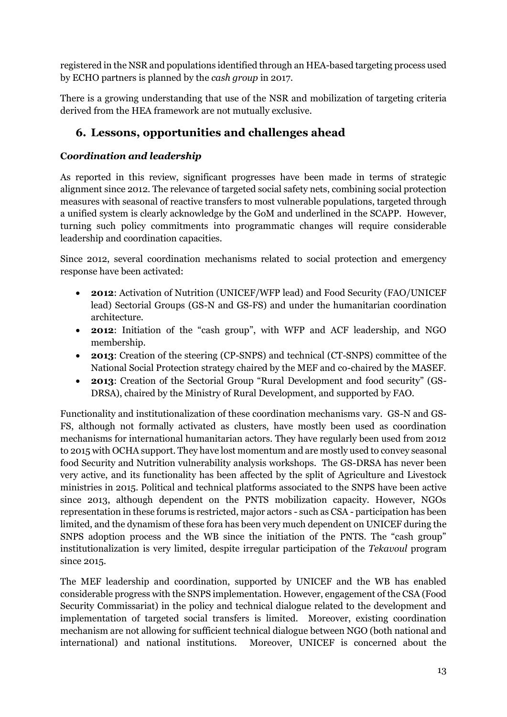registered in the NSR and populations identified through an HEA-based targeting process used by ECHO partners is planned by the *cash group* in 2017.

There is a growing understanding that use of the NSR and mobilization of targeting criteria derived from the HEA framework are not mutually exclusive.

# <span id="page-14-0"></span>**6. Lessons, opportunities and challenges ahead**

## **C***oordination and leadership*

As reported in this review, significant progresses have been made in terms of strategic alignment since 2012. The relevance of targeted social safety nets, combining social protection measures with seasonal of reactive transfers to most vulnerable populations, targeted through a unified system is clearly acknowledge by the GoM and underlined in the SCAPP. However, turning such policy commitments into programmatic changes will require considerable leadership and coordination capacities.

Since 2012, several coordination mechanisms related to social protection and emergency response have been activated:

- **2012**: Activation of Nutrition (UNICEF/WFP lead) and Food Security (FAO/UNICEF lead) Sectorial Groups (GS-N and GS-FS) and under the humanitarian coordination architecture.
- **2012**: Initiation of the "cash group", with WFP and ACF leadership, and NGO membership.
- **2013**: Creation of the steering (CP-SNPS) and technical (CT-SNPS) committee of the National Social Protection strategy chaired by the MEF and co-chaired by the MASEF.
- **2013**: Creation of the Sectorial Group "Rural Development and food security" (GS-DRSA), chaired by the Ministry of Rural Development, and supported by FAO.

Functionality and institutionalization of these coordination mechanisms vary. GS-N and GS-FS, although not formally activated as clusters, have mostly been used as coordination mechanisms for international humanitarian actors. They have regularly been used from 2012 to 2015 with OCHA support. They have lost momentum and are mostly used to convey seasonal food Security and Nutrition vulnerability analysis workshops. The GS-DRSA has never been very active, and its functionality has been affected by the split of Agriculture and Livestock ministries in 2015. Political and technical platforms associated to the SNPS have been active since 2013, although dependent on the PNTS mobilization capacity. However, NGOs representation in these forums is restricted, major actors - such as CSA - participation has been limited, and the dynamism of these fora has been very much dependent on UNICEF during the SNPS adoption process and the WB since the initiation of the PNTS. The "cash group" institutionalization is very limited, despite irregular participation of the *Tekavoul* program since 2015.

The MEF leadership and coordination, supported by UNICEF and the WB has enabled considerable progress with the SNPS implementation. However, engagement of the CSA (Food Security Commissariat) in the policy and technical dialogue related to the development and implementation of targeted social transfers is limited. Moreover, existing coordination mechanism are not allowing for sufficient technical dialogue between NGO (both national and international) and national institutions. Moreover, UNICEF is concerned about the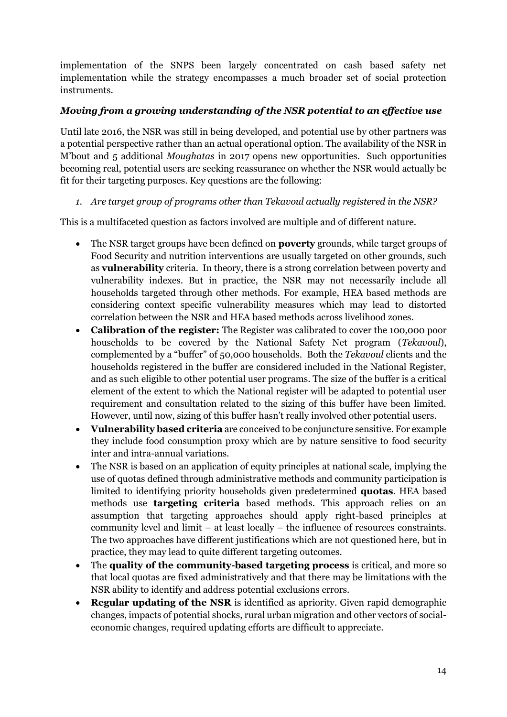implementation of the SNPS been largely concentrated on cash based safety net implementation while the strategy encompasses a much broader set of social protection instruments.

#### *Moving from a growing understanding of the NSR potential to an effective use*

Until late 2016, the NSR was still in being developed, and potential use by other partners was a potential perspective rather than an actual operational option. The availability of the NSR in M'bout and 5 additional *Moughatas* in 2017 opens new opportunities. Such opportunities becoming real, potential users are seeking reassurance on whether the NSR would actually be fit for their targeting purposes. Key questions are the following:

#### *1. Are target group of programs other than Tekavoul actually registered in the NSR?*

This is a multifaceted question as factors involved are multiple and of different nature.

- The NSR target groups have been defined on **poverty** grounds, while target groups of Food Security and nutrition interventions are usually targeted on other grounds, such as **vulnerability** criteria. In theory, there is a strong correlation between poverty and vulnerability indexes. But in practice, the NSR may not necessarily include all households targeted through other methods. For example, HEA based methods are considering context specific vulnerability measures which may lead to distorted correlation between the NSR and HEA based methods across livelihood zones.
- **Calibration of the register:** The Register was calibrated to cover the 100,000 poor households to be covered by the National Safety Net program (*Tekavoul*), complemented by a "buffer" of 50,000 households. Both the *Tekavoul* clients and the households registered in the buffer are considered included in the National Register, and as such eligible to other potential user programs. The size of the buffer is a critical element of the extent to which the National register will be adapted to potential user requirement and consultation related to the sizing of this buffer have been limited. However, until now, sizing of this buffer hasn't really involved other potential users.
- **Vulnerability based criteria** are conceived to be conjuncture sensitive. For example they include food consumption proxy which are by nature sensitive to food security inter and intra-annual variations.
- The NSR is based on an application of equity principles at national scale, implying the use of quotas defined through administrative methods and community participation is limited to identifying priority households given predetermined **quotas**. HEA based methods use **targeting criteria** based methods. This approach relies on an assumption that targeting approaches should apply right-based principles at community level and limit – at least locally – the influence of resources constraints. The two approaches have different justifications which are not questioned here, but in practice, they may lead to quite different targeting outcomes.
- The **quality of the community-based targeting process** is critical, and more so that local quotas are fixed administratively and that there may be limitations with the NSR ability to identify and address potential exclusions errors.
- **Regular updating of the NSR** is identified as apriority. Given rapid demographic changes, impacts of potential shocks, rural urban migration and other vectors of socialeconomic changes, required updating efforts are difficult to appreciate.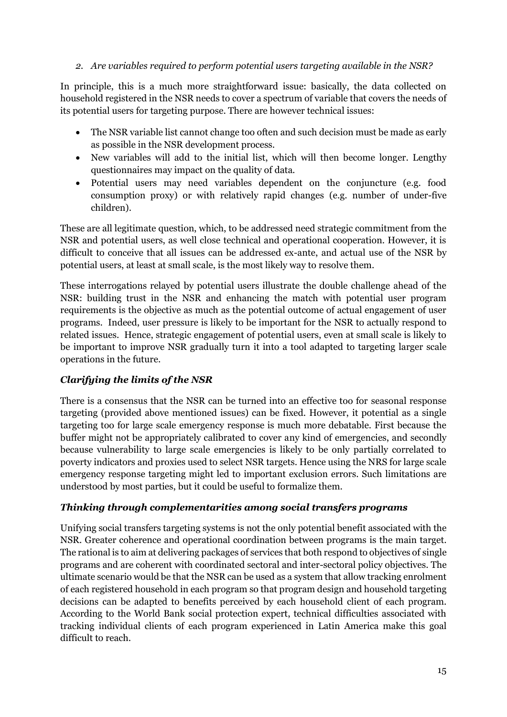#### *2. Are variables required to perform potential users targeting available in the NSR?*

In principle, this is a much more straightforward issue: basically, the data collected on household registered in the NSR needs to cover a spectrum of variable that covers the needs of its potential users for targeting purpose. There are however technical issues:

- The NSR variable list cannot change too often and such decision must be made as early as possible in the NSR development process.
- New variables will add to the initial list, which will then become longer. Lengthy questionnaires may impact on the quality of data.
- Potential users may need variables dependent on the conjuncture (e.g. food consumption proxy) or with relatively rapid changes (e.g. number of under-five children).

These are all legitimate question, which, to be addressed need strategic commitment from the NSR and potential users, as well close technical and operational cooperation. However, it is difficult to conceive that all issues can be addressed ex-ante, and actual use of the NSR by potential users, at least at small scale, is the most likely way to resolve them.

These interrogations relayed by potential users illustrate the double challenge ahead of the NSR: building trust in the NSR and enhancing the match with potential user program requirements is the objective as much as the potential outcome of actual engagement of user programs. Indeed, user pressure is likely to be important for the NSR to actually respond to related issues. Hence, strategic engagement of potential users, even at small scale is likely to be important to improve NSR gradually turn it into a tool adapted to targeting larger scale operations in the future.

#### *Clarifying the limits of the NSR*

There is a consensus that the NSR can be turned into an effective too for seasonal response targeting (provided above mentioned issues) can be fixed. However, it potential as a single targeting too for large scale emergency response is much more debatable. First because the buffer might not be appropriately calibrated to cover any kind of emergencies, and secondly because vulnerability to large scale emergencies is likely to be only partially correlated to poverty indicators and proxies used to select NSR targets. Hence using the NRS for large scale emergency response targeting might led to important exclusion errors. Such limitations are understood by most parties, but it could be useful to formalize them.

#### *Thinking through complementarities among social transfers programs*

Unifying social transfers targeting systems is not the only potential benefit associated with the NSR. Greater coherence and operational coordination between programs is the main target. The rational is to aim at delivering packages of services that both respond to objectives of single programs and are coherent with coordinated sectoral and inter-sectoral policy objectives. The ultimate scenario would be that the NSR can be used as a system that allow tracking enrolment of each registered household in each program so that program design and household targeting decisions can be adapted to benefits perceived by each household client of each program. According to the World Bank social protection expert, technical difficulties associated with tracking individual clients of each program experienced in Latin America make this goal difficult to reach.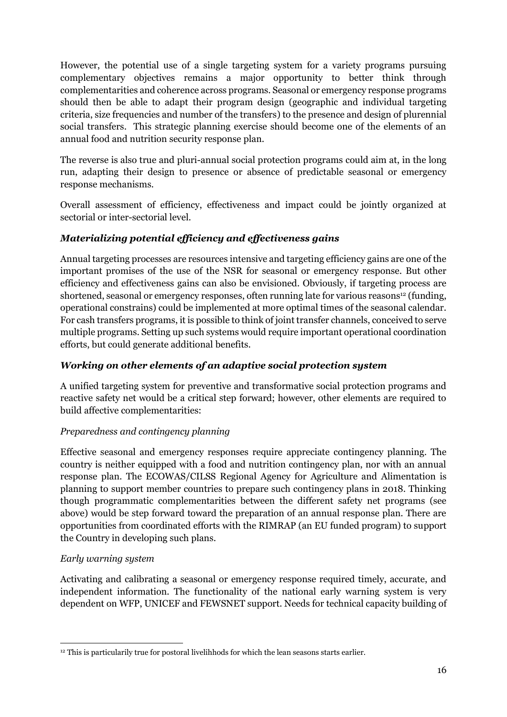However, the potential use of a single targeting system for a variety programs pursuing complementary objectives remains a major opportunity to better think through complementarities and coherence across programs. Seasonal or emergency response programs should then be able to adapt their program design (geographic and individual targeting criteria, size frequencies and number of the transfers) to the presence and design of plurennial social transfers. This strategic planning exercise should become one of the elements of an annual food and nutrition security response plan.

The reverse is also true and pluri-annual social protection programs could aim at, in the long run, adapting their design to presence or absence of predictable seasonal or emergency response mechanisms.

Overall assessment of efficiency, effectiveness and impact could be jointly organized at sectorial or inter-sectorial level.

## *Materializing potential efficiency and effectiveness gains*

Annual targeting processes are resources intensive and targeting efficiency gains are one of the important promises of the use of the NSR for seasonal or emergency response. But other efficiency and effectiveness gains can also be envisioned. Obviously, if targeting process are shortened, seasonal or emergency responses, often running late for various reasons<sup>12</sup> (funding, operational constrains) could be implemented at more optimal times of the seasonal calendar. For cash transfers programs, it is possible to think of joint transfer channels, conceived to serve multiple programs. Setting up such systems would require important operational coordination efforts, but could generate additional benefits.

## *Working on other elements of an adaptive social protection system*

A unified targeting system for preventive and transformative social protection programs and reactive safety net would be a critical step forward; however, other elements are required to build affective complementarities:

#### *Preparedness and contingency planning*

Effective seasonal and emergency responses require appreciate contingency planning. The country is neither equipped with a food and nutrition contingency plan, nor with an annual response plan. The ECOWAS/CILSS Regional Agency for Agriculture and Alimentation is planning to support member countries to prepare such contingency plans in 2018. Thinking though programmatic complementarities between the different safety net programs (see above) would be step forward toward the preparation of an annual response plan. There are opportunities from coordinated efforts with the RIMRAP (an EU funded program) to support the Country in developing such plans.

#### *Early warning system*

Activating and calibrating a seasonal or emergency response required timely, accurate, and independent information. The functionality of the national early warning system is very dependent on WFP, UNICEF and FEWSNET support. Needs for technical capacity building of

**<sup>.</sup>** <sup>12</sup> This is particularily true for postoral livelihhods for which the lean seasons starts earlier.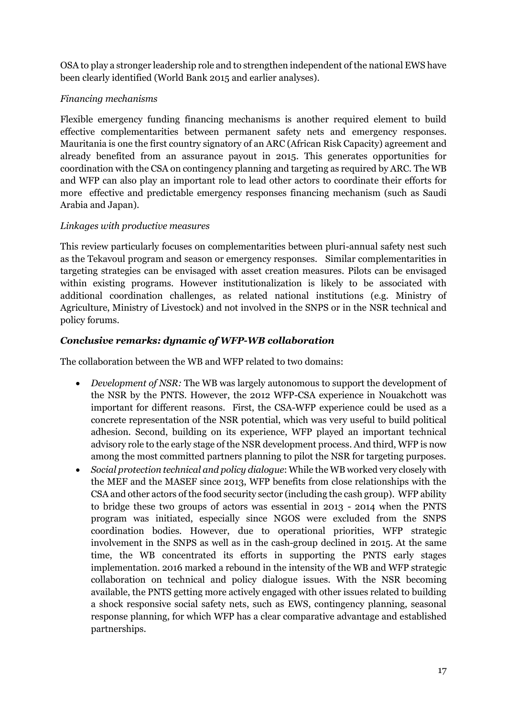OSA to play a stronger leadership role and to strengthen independent of the national EWS have been clearly identified (World Bank 2015 and earlier analyses).

#### *Financing mechanisms*

Flexible emergency funding financing mechanisms is another required element to build effective complementarities between permanent safety nets and emergency responses. Mauritania is one the first country signatory of an ARC (African Risk Capacity) agreement and already benefited from an assurance payout in 2015. This generates opportunities for coordination with the CSA on contingency planning and targeting as required by ARC. The WB and WFP can also play an important role to lead other actors to coordinate their efforts for more effective and predictable emergency responses financing mechanism (such as Saudi Arabia and Japan).

#### *Linkages with productive measures*

This review particularly focuses on complementarities between pluri-annual safety nest such as the Tekavoul program and season or emergency responses. Similar complementarities in targeting strategies can be envisaged with asset creation measures. Pilots can be envisaged within existing programs. However institutionalization is likely to be associated with additional coordination challenges, as related national institutions (e.g. Ministry of Agriculture, Ministry of Livestock) and not involved in the SNPS or in the NSR technical and policy forums.

#### *Conclusive remarks: dynamic of WFP-WB collaboration*

The collaboration between the WB and WFP related to two domains:

- *Development of NSR:* The WB was largely autonomous to support the development of the NSR by the PNTS. However, the 2012 WFP-CSA experience in Nouakchott was important for different reasons. First, the CSA-WFP experience could be used as a concrete representation of the NSR potential, which was very useful to build political adhesion. Second, building on its experience, WFP played an important technical advisory role to the early stage of the NSR development process. And third, WFP is now among the most committed partners planning to pilot the NSR for targeting purposes.
- *Social protection technical and policy dialogue*: While the WB worked very closely with the MEF and the MASEF since 2013, WFP benefits from close relationships with the CSA and other actors of the food security sector (including the cash group). WFP ability to bridge these two groups of actors was essential in 2013 - 2014 when the PNTS program was initiated, especially since NGOS were excluded from the SNPS coordination bodies. However, due to operational priorities, WFP strategic involvement in the SNPS as well as in the cash-group declined in 2015. At the same time, the WB concentrated its efforts in supporting the PNTS early stages implementation. 2016 marked a rebound in the intensity of the WB and WFP strategic collaboration on technical and policy dialogue issues. With the NSR becoming available, the PNTS getting more actively engaged with other issues related to building a shock responsive social safety nets, such as EWS, contingency planning, seasonal response planning, for which WFP has a clear comparative advantage and established partnerships.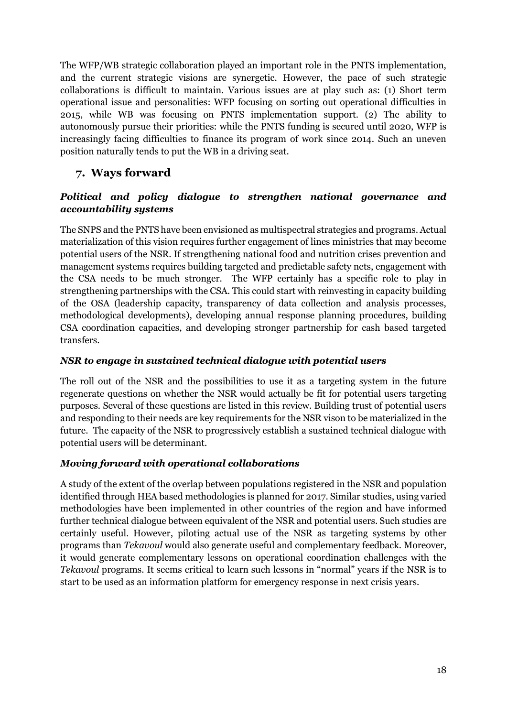The WFP/WB strategic collaboration played an important role in the PNTS implementation, and the current strategic visions are synergetic. However, the pace of such strategic collaborations is difficult to maintain. Various issues are at play such as: (1) Short term operational issue and personalities: WFP focusing on sorting out operational difficulties in 2015, while WB was focusing on PNTS implementation support. (2) The ability to autonomously pursue their priorities: while the PNTS funding is secured until 2020, WFP is increasingly facing difficulties to finance its program of work since 2014. Such an uneven position naturally tends to put the WB in a driving seat.

## <span id="page-19-0"></span>**7. Ways forward**

#### *Political and policy dialogue to strengthen national governance and accountability systems*

The SNPS and the PNTS have been envisioned as multispectral strategies and programs. Actual materialization of this vision requires further engagement of lines ministries that may become potential users of the NSR. If strengthening national food and nutrition crises prevention and management systems requires building targeted and predictable safety nets, engagement with the CSA needs to be much stronger. The WFP certainly has a specific role to play in strengthening partnerships with the CSA. This could start with reinvesting in capacity building of the OSA (leadership capacity, transparency of data collection and analysis processes, methodological developments), developing annual response planning procedures, building CSA coordination capacities, and developing stronger partnership for cash based targeted transfers.

#### *NSR to engage in sustained technical dialogue with potential users*

The roll out of the NSR and the possibilities to use it as a targeting system in the future regenerate questions on whether the NSR would actually be fit for potential users targeting purposes. Several of these questions are listed in this review. Building trust of potential users and responding to their needs are key requirements for the NSR vison to be materialized in the future. The capacity of the NSR to progressively establish a sustained technical dialogue with potential users will be determinant.

## *Moving forward with operational collaborations*

A study of the extent of the overlap between populations registered in the NSR and population identified through HEA based methodologies is planned for 2017. Similar studies, using varied methodologies have been implemented in other countries of the region and have informed further technical dialogue between equivalent of the NSR and potential users. Such studies are certainly useful. However, piloting actual use of the NSR as targeting systems by other programs than *Tekavoul* would also generate useful and complementary feedback. Moreover, it would generate complementary lessons on operational coordination challenges with the *Tekavoul* programs. It seems critical to learn such lessons in "normal" years if the NSR is to start to be used as an information platform for emergency response in next crisis years.